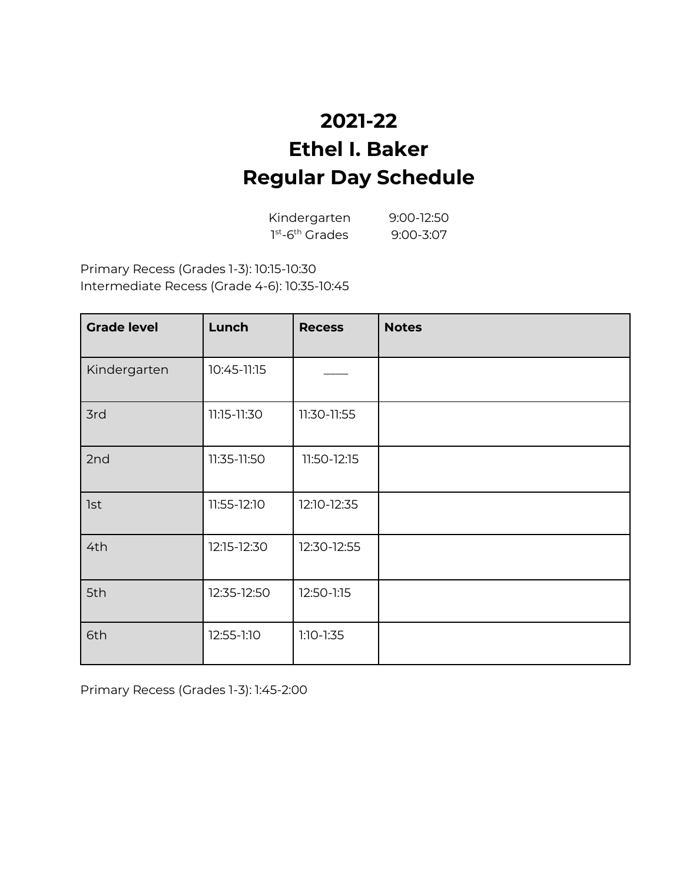# **2021-22 Ethel I. Baker Regular Day Schedule**

Kindergarten 9:00-12:50 1st<sub>-6</sub>th Grades 9:00-3:07

Primary Recess (Grades 1-3): 10:15-10:30 Intermediate Recess (Grade 4-6): 10:35-10:45

| <b>Grade level</b> | Lunch       | <b>Recess</b> | <b>Notes</b> |
|--------------------|-------------|---------------|--------------|
| Kindergarten       | 10:45-11:15 |               |              |
| 3rd                | 11:15-11:30 | 11:30-11:55   |              |
| 2nd                | 11:35-11:50 | 11:50-12:15   |              |
| <b>1st</b>         | 11:55-12:10 | 12:10-12:35   |              |
| 4th                | 12:15-12:30 | 12:30-12:55   |              |
| 5th                | 12:35-12:50 | 12:50-1:15    |              |
| 6th                | 12:55-1:10  | $1:10-1:35$   |              |

Primary Recess (Grades 1-3): 1:45-2:00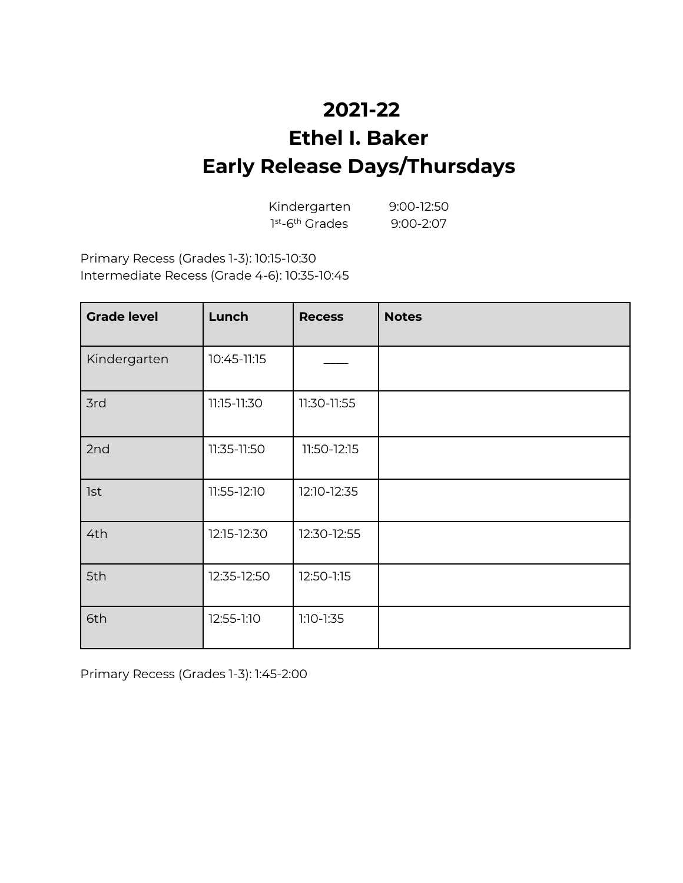### **2021-22 Ethel I. Baker Early Release Days/Thursdays**

| Kindergarten                            | $9:00-12:50$  |
|-----------------------------------------|---------------|
| 1 <sup>st</sup> -6 <sup>th</sup> Grades | $9:00 - 2:07$ |

Primary Recess (Grades 1-3): 10:15-10:30 Intermediate Recess (Grade 4-6): 10:35-10:45

| <b>Grade level</b> | Lunch       | <b>Recess</b> | <b>Notes</b> |
|--------------------|-------------|---------------|--------------|
| Kindergarten       | 10:45-11:15 |               |              |
| 3rd                | 11:15-11:30 | 11:30-11:55   |              |
| 2nd                | 11:35-11:50 | 11:50-12:15   |              |
| <b>1st</b>         | 11:55-12:10 | 12:10-12:35   |              |
| 4th                | 12:15-12:30 | 12:30-12:55   |              |
| 5th                | 12:35-12:50 | 12:50-1:15    |              |
| 6th                | 12:55-1:10  | $1:10-1:35$   |              |

Primary Recess (Grades 1-3): 1:45-2:00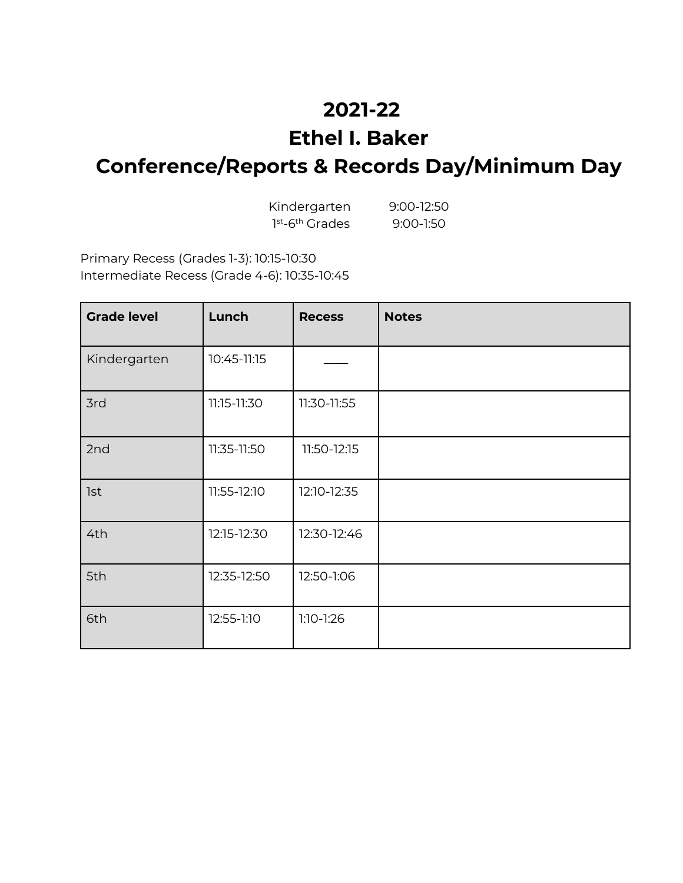### **2021-22**

#### **Ethel I. Baker**

# **Conference/Reports & Records Day/Minimum Day**

| Kindergarten                            | $9:00 - 12:50$ |
|-----------------------------------------|----------------|
| 1 <sup>st</sup> -6 <sup>th</sup> Grades | $9:00-1:50$    |

Primary Recess (Grades 1-3): 10:15-10:30 Intermediate Recess (Grade 4-6): 10:35-10:45

| <b>Grade level</b> | Lunch       | <b>Recess</b> | <b>Notes</b> |
|--------------------|-------------|---------------|--------------|
| Kindergarten       | 10:45-11:15 |               |              |
| 3rd                | 11:15-11:30 | 11:30-11:55   |              |
| 2nd                | 11:35-11:50 | 11:50-12:15   |              |
| <b>1st</b>         | 11:55-12:10 | 12:10-12:35   |              |
| 4th                | 12:15-12:30 | 12:30-12:46   |              |
| 5th                | 12:35-12:50 | 12:50-1:06    |              |
| 6th                | 12:55-1:10  | $1:10-1:26$   |              |